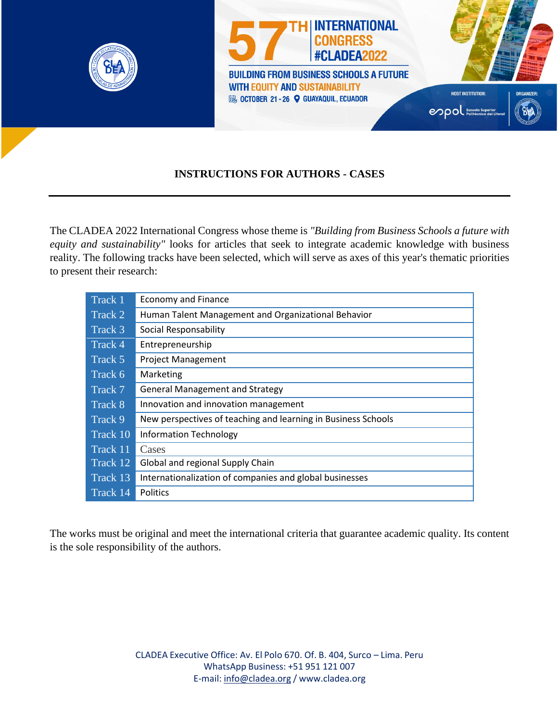

#### **INSTRUCTIONS FOR AUTHORS - CASES**

The CLADEA 2022 International Congress whose theme is *"Building from Business Schools a future with equity and sustainability"* looks for articles that seek to integrate academic knowledge with business reality. The following tracks have been selected, which will serve as axes of this year's thematic priorities to present their research:

| Track 1  | <b>Economy and Finance</b>                                    |
|----------|---------------------------------------------------------------|
| Track 2  | Human Talent Management and Organizational Behavior           |
| Track 3  | Social Responsability                                         |
| Track 4  | Entrepreneurship                                              |
| Track 5  | <b>Project Management</b>                                     |
| Track 6  | Marketing                                                     |
| Track 7  | <b>General Management and Strategy</b>                        |
| Track 8  | Innovation and innovation management                          |
| Track 9  | New perspectives of teaching and learning in Business Schools |
| Track 10 | <b>Information Technology</b>                                 |
| Track 11 | Cases                                                         |
| Track 12 | Global and regional Supply Chain                              |
| Track 13 | Internationalization of companies and global businesses       |
| Track 14 | <b>Politics</b>                                               |

The works must be original and meet the international criteria that guarantee academic quality. Its content is the sole responsibility of the authors.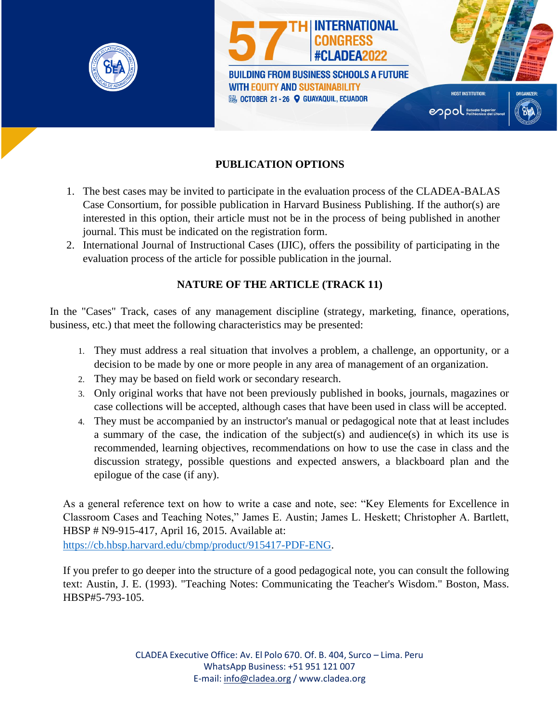

## **PUBLICATION OPTIONS**

- 1. The best cases may be invited to participate in the evaluation process of the CLADEA-BALAS Case Consortium, for possible publication in Harvard Business Publishing. If the author(s) are interested in this option, their article must not be in the process of being published in another journal. This must be indicated on the registration form.
- 2. International Journal of Instructional Cases (IJIC), offers the possibility of participating in the evaluation process of the article for possible publication in the journal.

#### **NATURE OF THE ARTICLE (TRACK 11)**

In the "Cases" Track, cases of any management discipline (strategy, marketing, finance, operations, business, etc.) that meet the following characteristics may be presented:

- 1. They must address a real situation that involves a problem, a challenge, an opportunity, or a decision to be made by one or more people in any area of management of an organization.
- 2. They may be based on field work or secondary research.
- 3. Only original works that have not been previously published in books, journals, magazines or case collections will be accepted, although cases that have been used in class will be accepted.
- 4. They must be accompanied by an instructor's manual or pedagogical note that at least includes a summary of the case, the indication of the subject(s) and audience(s) in which its use is recommended, learning objectives, recommendations on how to use the case in class and the discussion strategy, possible questions and expected answers, a blackboard plan and the epilogue of the case (if any).

As a general reference text on how to write a case and note, see: "Key Elements for Excellence in Classroom Cases and Teaching Notes," James E. Austin; James L. Heskett; Christopher A. Bartlett, HBSP # N9-915-417, April 16, 2015. Available at:

https://cb.hbsp.harvard.edu/cbmp/product/915417-PDF-ENG.

If you prefer to go deeper into the structure of a good pedagogical note, you can consult the following text: Austin, J. E. (1993). "Teaching Notes: Communicating the Teacher's Wisdom." Boston, Mass. HBSP#5-793-105.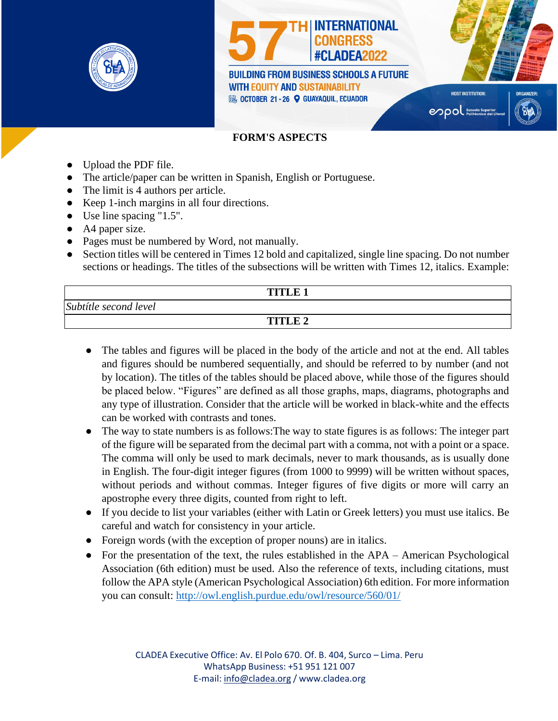

# **FORM'S ASPECTS**

- Upload the PDF file.
- The article/paper can be written in Spanish, English or Portuguese.
- The limit is 4 authors per article.
- Keep 1-inch margins in all four directions.
- $\bullet$  Use line spacing "1.5".
- A4 paper size.
- Pages must be numbered by Word, not manually.
- Section titles will be centered in Times 12 bold and capitalized, single line spacing. Do not number sections or headings. The titles of the subsections will be written with Times 12, italics. Example:

|                       | <b>TITLE 1</b> |  |
|-----------------------|----------------|--|
| Subtítle second level |                |  |
|                       | <b>TITLE 2</b> |  |

- The tables and figures will be placed in the body of the article and not at the end. All tables and figures should be numbered sequentially, and should be referred to by number (and not by location). The titles of the tables should be placed above, while those of the figures should be placed below. "Figures" are defined as all those graphs, maps, diagrams, photographs and any type of illustration. Consider that the article will be worked in black-white and the effects can be worked with contrasts and tones.
- The way to state numbers is as follows: The way to state figures is as follows: The integer part of the figure will be separated from the decimal part with a comma, not with a point or a space. The comma will only be used to mark decimals, never to mark thousands, as is usually done in English. The four-digit integer figures (from 1000 to 9999) will be written without spaces, without periods and without commas. Integer figures of five digits or more will carry an apostrophe every three digits, counted from right to left.
- If you decide to list your variables (either with Latin or Greek letters) you must use italics. Be careful and watch for consistency in your article.
- Foreign words (with the exception of proper nouns) are in italics.
- For the presentation of the text, the rules established in the APA American Psychological Association (6th edition) must be used. Also the reference of texts, including citations, must follow the APA style (American Psychological Association) 6th edition. For more information you can consult: http://owl.english.purdue.edu/owl/resource/560/01/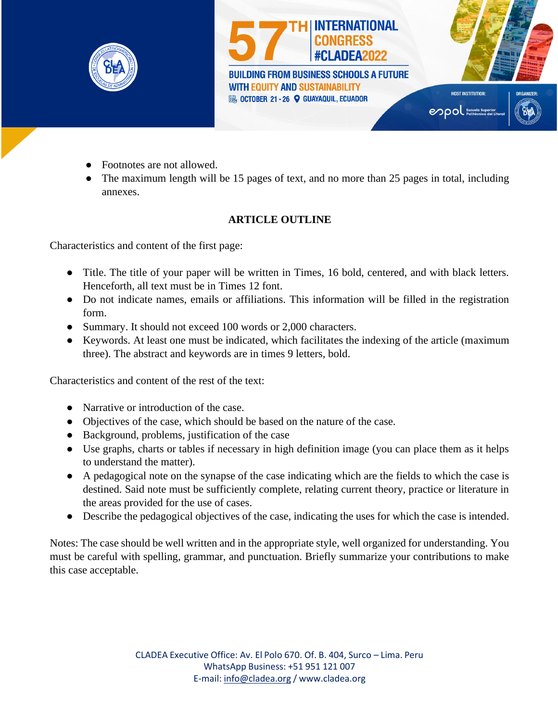

- **Footnotes are not allowed.**
- The maximum length will be 15 pages of text, and no more than 25 pages in total, including annexes.

## **ARTICLE OUTLINE**

Characteristics and content of the first page:

- Title. The title of your paper will be written in Times, 16 bold, centered, and with black letters. Henceforth, all text must be in Times 12 font.
- Do not indicate names, emails or affiliations. This information will be filled in the registration form.
- Summary. It should not exceed 100 words or 2,000 characters.
- Keywords. At least one must be indicated, which facilitates the indexing of the article (maximum three). The abstract and keywords are in times 9 letters, bold.

Characteristics and content of the rest of the text:

- Narrative or introduction of the case.
- Objectives of the case, which should be based on the nature of the case.
- Background, problems, justification of the case
- Use graphs, charts or tables if necessary in high definition image (you can place them as it helps to understand the matter).
- A pedagogical note on the synapse of the case indicating which are the fields to which the case is destined. Said note must be sufficiently complete, relating current theory, practice or literature in the areas provided for the use of cases.
- Describe the pedagogical objectives of the case, indicating the uses for which the case is intended.

Notes: The case should be well written and in the appropriate style, well organized for understanding. You must be careful with spelling, grammar, and punctuation. Briefly summarize your contributions to make this case acceptable.